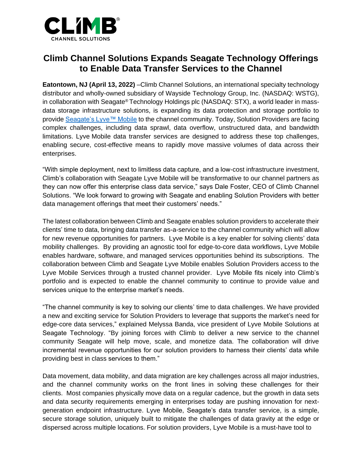

## **Climb Channel Solutions Expands Seagate Technology Offerings to Enable Data Transfer Services to the Channel**

**Eatontown, NJ (April 13, 2022)** –Climb Channel Solutions, an international specialty technology distributor and wholly-owned subsidiary of Wayside Technology Group, Inc. (NASDAQ: WSTG), in collaboration with Seagate® Technology Holdings plc (NASDAQ: STX), a world leader in massdata storage infrastructure solutions, is expanding its data protection and storage portfolio to provid[e Seagate's Lyve™ Mobile](https://www.seagate.com/products/data-transport/) to the channel community. Today, Solution Providers are facing complex challenges, including data sprawl, data overflow, unstructured data, and bandwidth limitations. Lyve Mobile data transfer services are designed to address these top challenges, enabling secure, cost-effective means to rapidly move massive volumes of data across their enterprises.

"With simple deployment, next to limitless data capture, and a low-cost infrastructure investment, Climb's collaboration with Seagate Lyve Mobile will be transformative to our channel partners as they can now offer this enterprise class data service," says Dale Foster, CEO of Climb Channel Solutions. "We look forward to growing with Seagate and enabling Solution Providers with better data management offerings that meet their customers' needs."

The latest collaboration between Climb and Seagate enables solution providers to accelerate their clients' time to data, bringing data transfer as-a-service to the channel community which will allow for new revenue opportunities for partners. Lyve Mobile is a key enabler for solving clients' data mobility challenges. By providing an agnostic tool for edge-to-core data workflows, Lyve Mobile enables hardware, software, and managed services opportunities behind its subscriptions. The collaboration between Climb and Seagate Lyve Mobile enables Solution Providers access to the Lyve Mobile Services through a trusted channel provider. Lyve Mobile fits nicely into Climb's portfolio and is expected to enable the channel community to continue to provide value and services unique to the enterprise market's needs.

"The channel community is key to solving our clients' time to data challenges. We have provided a new and exciting service for Solution Providers to leverage that supports the market's need for edge-core data services," explained Melyssa Banda, vice president of Lyve Mobile Solutions at Seagate Technology. "By joining forces with Climb to deliver a new service to the channel community Seagate will help move, scale, and monetize data. The collaboration will drive incremental revenue opportunities for our solution providers to harness their clients' data while providing best in class services to them."

Data movement, data mobility, and data migration are key challenges across all major industries, and the channel community works on the front lines in solving these challenges for their clients. Most companies physically move data on a regular cadence, but the growth in data sets and data security requirements emerging in enterprises today are pushing innovation for nextgeneration endpoint infrastructure. Lyve Mobile, Seagate's data transfer service, is a simple, secure storage solution, uniquely built to mitigate the challenges of data gravity at the edge or dispersed across multiple locations. For solution providers, Lyve Mobile is a must-have tool to